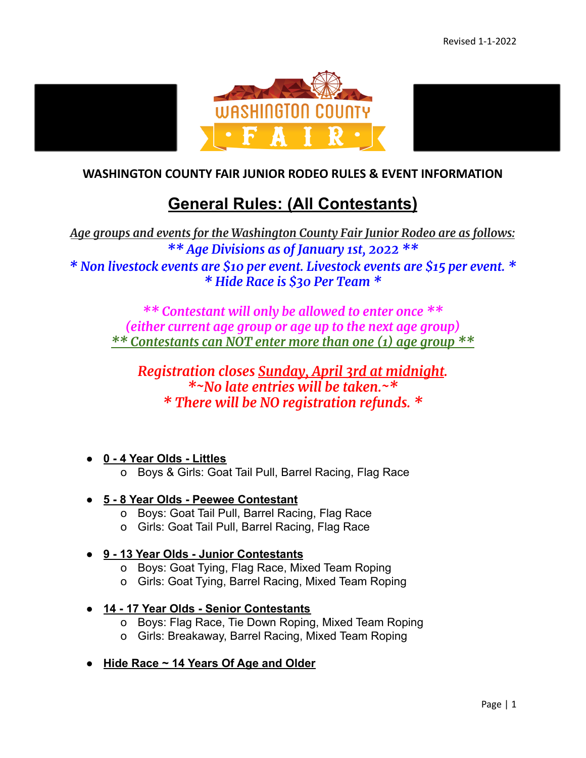

#### **WASHINGTON COUNTY FAIR JUNIOR RODEO RULES & EVENT INFORMATION**

# **General Rules: (All Contestants)**

*Age groups and events for the Washington County Fair Junior Rodeo are as follows: \*\* Age Divisions as of January 1st, 2022 \*\* \* Non livestock events are \$10 per event. Livestock events are \$15 per event. \* \* Hide Race is \$30 Per Team \**

*\*\* Contestant will only be allowed to enter once \*\* (either current age group or age up to the next age group) \*\* Contestants can NOT enter more than one (1) age group \*\**

## *Registration closes Sunday, April 3rd at midnight. \*~No late entries will be taken.~\* \* There will be NO registration refunds. \**

- **● 0 4 Year Olds Littles**
	- o Boys & Girls: Goat Tail Pull, Barrel Racing, Flag Race

#### ● **5 - 8 Year Olds - Peewee Contestant**

- o Boys: Goat Tail Pull, Barrel Racing, Flag Race
- o Girls: Goat Tail Pull, Barrel Racing, Flag Race

#### ● **9 - 13 Year Olds - Junior Contestants**

- o Boys: Goat Tying, Flag Race, Mixed Team Roping
- o Girls: Goat Tying, Barrel Racing, Mixed Team Roping
- **14 17 Year Olds Senior Contestants**
	- o Boys: Flag Race, Tie Down Roping, Mixed Team Roping
	- o Girls: Breakaway, Barrel Racing, Mixed Team Roping
- **Hide Race ~ 14 Years Of Age and Older**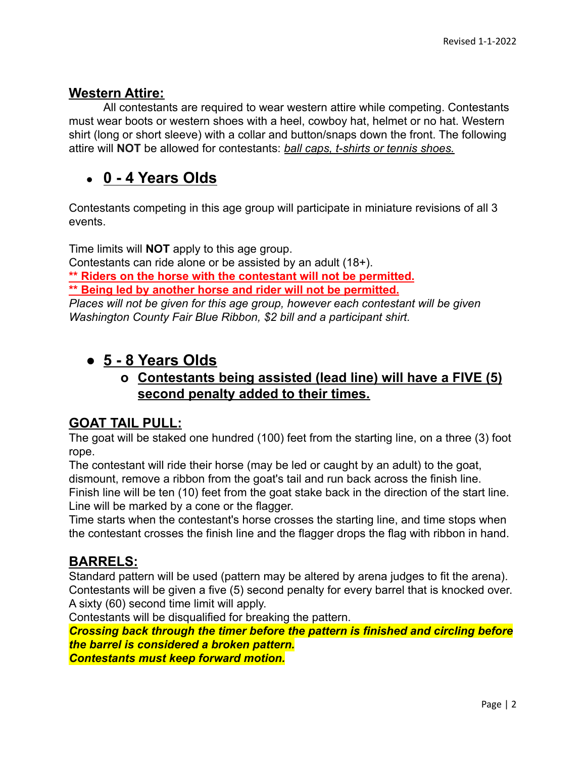#### **Western Attire:**

All contestants are required to wear western attire while competing. Contestants must wear boots or western shoes with a heel, cowboy hat, helmet or no hat. Western shirt (long or short sleeve) with a collar and button/snaps down the front. The following attire will **NOT** be allowed for contestants: *ball caps, t-shirts or tennis shoes.*

# **● 0 - 4 Years Olds**

Contestants competing in this age group will participate in miniature revisions of all 3 events.

Time limits will **NOT** apply to this age group. Contestants can ride alone or be assisted by an adult (18+). **\*\* Riders on the horse with the contestant will not be permitted. \*\* Being led by another horse and rider will not be permitted.** *Places will not be given for this age group, however each contestant will be given Washington County Fair Blue Ribbon, \$2 bill and a participant shirt.*

## ● **5 - 8 Years Olds**

### **o Contestants being assisted (lead line) will have a FIVE (5) second penalty added to their times.**

#### **GOAT TAIL PULL:**

The goat will be staked one hundred (100) feet from the starting line, on a three (3) foot rope.

The contestant will ride their horse (may be led or caught by an adult) to the goat, dismount, remove a ribbon from the goat's tail and run back across the finish line.

Finish line will be ten (10) feet from the goat stake back in the direction of the start line. Line will be marked by a cone or the flagger.

Time starts when the contestant's horse crosses the starting line, and time stops when the contestant crosses the finish line and the flagger drops the flag with ribbon in hand.

### **BARRELS:**

Standard pattern will be used (pattern may be altered by arena judges to fit the arena). Contestants will be given a five (5) second penalty for every barrel that is knocked over. A sixty (60) second time limit will apply.

Contestants will be disqualified for breaking the pattern.

*Crossing back through the timer before the pattern is finished and circling before the barrel is considered a broken pattern.*

*Contestants must keep forward motion.*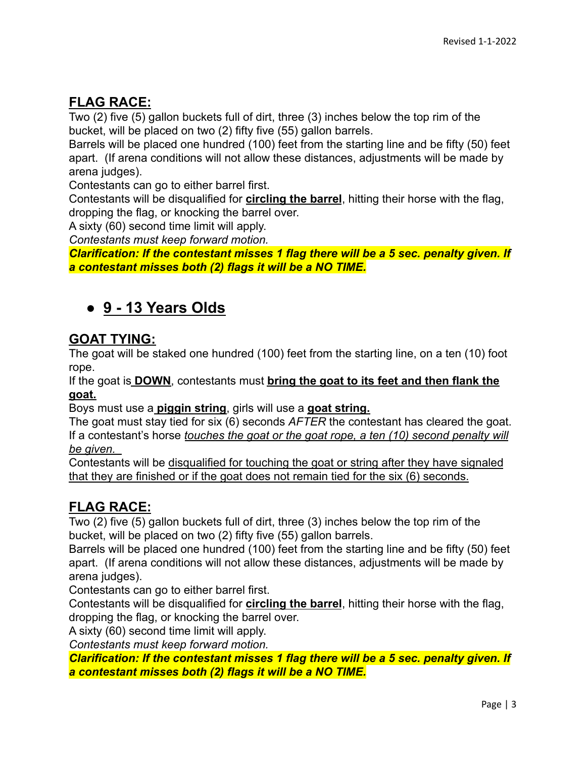## **FLAG RACE:**

Two (2) five (5) gallon buckets full of dirt, three (3) inches below the top rim of the bucket, will be placed on two (2) fifty five (55) gallon barrels.

Barrels will be placed one hundred (100) feet from the starting line and be fifty (50) feet apart. (If arena conditions will not allow these distances, adjustments will be made by arena judges).

Contestants can go to either barrel first.

Contestants will be disqualified for **circling the barrel**, hitting their horse with the flag, dropping the flag, or knocking the barrel over.

A sixty (60) second time limit will apply.

*Contestants must keep forward motion.*

*Clarification: If the contestant misses 1 flag there will be a 5 sec. penalty given. If a contestant misses both (2) flags it will be a NO TIME.*

# ● **9 - 13 Years Olds**

#### **GOAT TYING:**

The goat will be staked one hundred (100) feet from the starting line, on a ten (10) foot rope.

If the goat is **DOWN**, contestants must **bring the goat to its feet and then flank the goat.**

Boys must use a **piggin string**, girls will use a **goat string.**

The goat must stay tied for six (6) seconds *AFTER* the contestant has cleared the goat. If a contestant's horse *touches the goat or the goat rope, a ten (10) second penalty will be given.* 

Contestants will be disqualified for touching the goat or string after they have signaled that they are finished or if the goat does not remain tied for the six (6) seconds.

### **FLAG RACE:**

Two (2) five (5) gallon buckets full of dirt, three (3) inches below the top rim of the bucket, will be placed on two (2) fifty five (55) gallon barrels.

Barrels will be placed one hundred (100) feet from the starting line and be fifty (50) feet apart. (If arena conditions will not allow these distances, adjustments will be made by arena judges).

Contestants can go to either barrel first.

Contestants will be disqualified for **circling the barrel**, hitting their horse with the flag, dropping the flag, or knocking the barrel over.

A sixty (60) second time limit will apply.

*Contestants must keep forward motion.*

*Clarification: If the contestant misses 1 flag there will be a 5 sec. penalty given. If a contestant misses both (2) flags it will be a NO TIME.*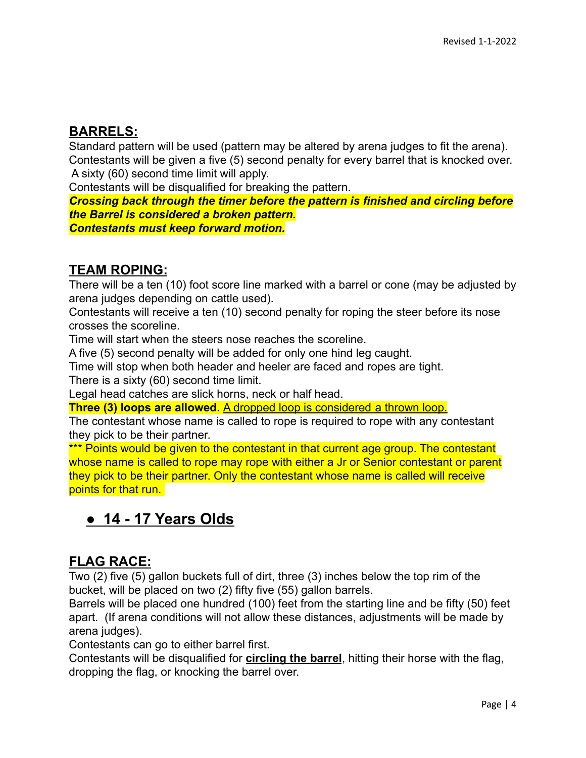### **BARRELS:**

Standard pattern will be used (pattern may be altered by arena judges to fit the arena). Contestants will be given a five (5) second penalty for every barrel that is knocked over. A sixty (60) second time limit will apply.

Contestants will be disqualified for breaking the pattern.

*Crossing back through the timer before the pattern is finished and circling before the Barrel is considered a broken pattern.*

*Contestants must keep forward motion.*

### **TEAM ROPING:**

There will be a ten (10) foot score line marked with a barrel or cone (may be adjusted by arena judges depending on cattle used).

Contestants will receive a ten (10) second penalty for roping the steer before its nose crosses the scoreline.

Time will start when the steers nose reaches the scoreline.

A five (5) second penalty will be added for only one hind leg caught.

Time will stop when both header and heeler are faced and ropes are tight.

There is a sixty (60) second time limit.

Legal head catches are slick horns, neck or half head.

**Three (3) loops are allowed.** A dropped loop is considered a thrown loop.

The contestant whose name is called to rope is required to rope with any contestant they pick to be their partner.

\*\*\* Points would be given to the contestant in that current age group. The contestant whose name is called to rope may rope with either a Jr or Senior contestant or parent they pick to be their partner. Only the contestant whose name is called will receive points for that run.

# **● 14 - 17 Years Olds**

## **FLAG RACE:**

Two (2) five (5) gallon buckets full of dirt, three (3) inches below the top rim of the bucket, will be placed on two (2) fifty five (55) gallon barrels.

Barrels will be placed one hundred (100) feet from the starting line and be fifty (50) feet apart. (If arena conditions will not allow these distances, adjustments will be made by arena judges).

Contestants can go to either barrel first.

Contestants will be disqualified for **circling the barrel**, hitting their horse with the flag, dropping the flag, or knocking the barrel over.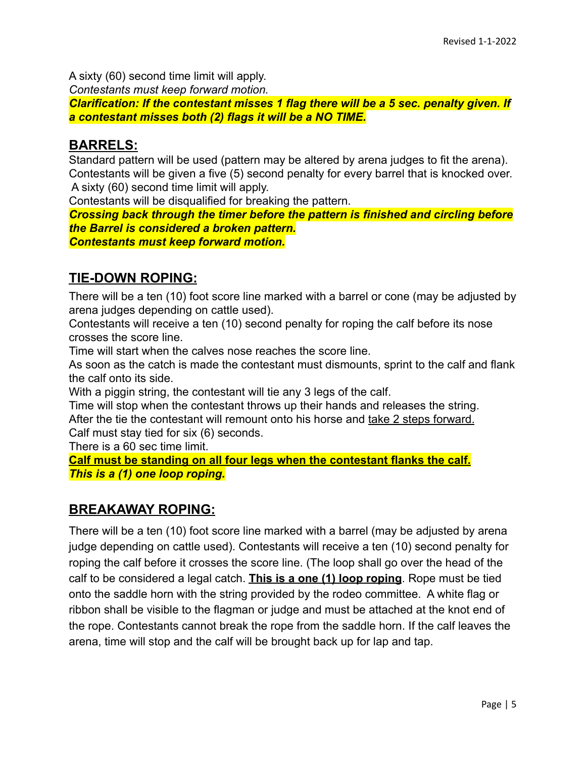A sixty (60) second time limit will apply.

*Contestants must keep forward motion.*

*Clarification: If the contestant misses 1 flag there will be a 5 sec. penalty given. If a contestant misses both (2) flags it will be a NO TIME.*

#### **BARRELS:**

Standard pattern will be used (pattern may be altered by arena judges to fit the arena). Contestants will be given a five (5) second penalty for every barrel that is knocked over. A sixty (60) second time limit will apply.

Contestants will be disqualified for breaking the pattern.

*Crossing back through the timer before the pattern is finished and circling before the Barrel is considered a broken pattern.*

*Contestants must keep forward motion.*

### **TIE-DOWN ROPING:**

There will be a ten (10) foot score line marked with a barrel or cone (may be adjusted by arena judges depending on cattle used).

Contestants will receive a ten (10) second penalty for roping the calf before its nose crosses the score line.

Time will start when the calves nose reaches the score line.

As soon as the catch is made the contestant must dismounts, sprint to the calf and flank the calf onto its side.

With a piggin string, the contestant will tie any 3 legs of the calf.

Time will stop when the contestant throws up their hands and releases the string. After the tie the contestant will remount onto his horse and take 2 steps forward. Calf must stay tied for six (6) seconds.

There is a 60 sec time limit.

**Calf must be standing on all four legs when the contestant flanks the calf.** *This is a (1) one loop roping.*

### **BREAKAWAY ROPING:**

There will be a ten (10) foot score line marked with a barrel (may be adjusted by arena judge depending on cattle used). Contestants will receive a ten (10) second penalty for roping the calf before it crosses the score line. (The loop shall go over the head of the calf to be considered a legal catch. **This is a one (1) loop roping**. Rope must be tied onto the saddle horn with the string provided by the rodeo committee. A white flag or ribbon shall be visible to the flagman or judge and must be attached at the knot end of the rope. Contestants cannot break the rope from the saddle horn. If the calf leaves the arena, time will stop and the calf will be brought back up for lap and tap.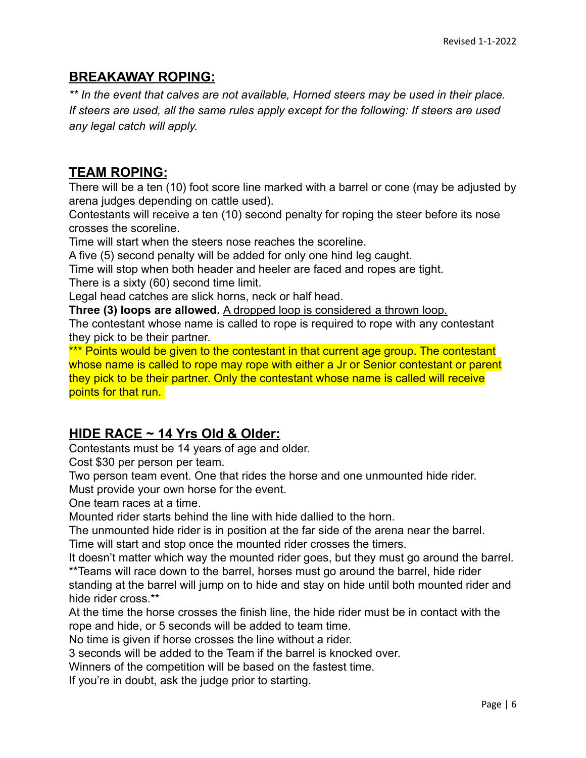#### **BREAKAWAY ROPING:**

*\*\* In the event that calves are not available, Horned steers may be used in their place. If steers are used, all the same rules apply except for the following: If steers are used any legal catch will apply.*

#### **TEAM ROPING:**

There will be a ten (10) foot score line marked with a barrel or cone (may be adjusted by arena judges depending on cattle used).

Contestants will receive a ten (10) second penalty for roping the steer before its nose crosses the scoreline.

Time will start when the steers nose reaches the scoreline.

A five (5) second penalty will be added for only one hind leg caught.

Time will stop when both header and heeler are faced and ropes are tight.

There is a sixty (60) second time limit.

Legal head catches are slick horns, neck or half head.

**Three (3) loops are allowed.** A dropped loop is considered a thrown loop.

The contestant whose name is called to rope is required to rope with any contestant they pick to be their partner.

\*\*\* Points would be given to the contestant in that current age group. The contestant whose name is called to rope may rope with either a Jr or Senior contestant or parent they pick to be their partner. Only the contestant whose name is called will receive points for that run.

#### **HIDE RACE ~ 14 Yrs Old & Older:**

Contestants must be 14 years of age and older.

Cost \$30 per person per team.

Two person team event. One that rides the horse and one unmounted hide rider.

Must provide your own horse for the event.

One team races at a time.

Mounted rider starts behind the line with hide dallied to the horn.

The unmounted hide rider is in position at the far side of the arena near the barrel.

Time will start and stop once the mounted rider crosses the timers.

It doesn't matter which way the mounted rider goes, but they must go around the barrel. \*\*Teams will race down to the barrel, horses must go around the barrel, hide rider

standing at the barrel will jump on to hide and stay on hide until both mounted rider and hide rider cross \*\*

At the time the horse crosses the finish line, the hide rider must be in contact with the rope and hide, or 5 seconds will be added to team time.

No time is given if horse crosses the line without a rider.

3 seconds will be added to the Team if the barrel is knocked over.

Winners of the competition will be based on the fastest time.

If you're in doubt, ask the judge prior to starting.